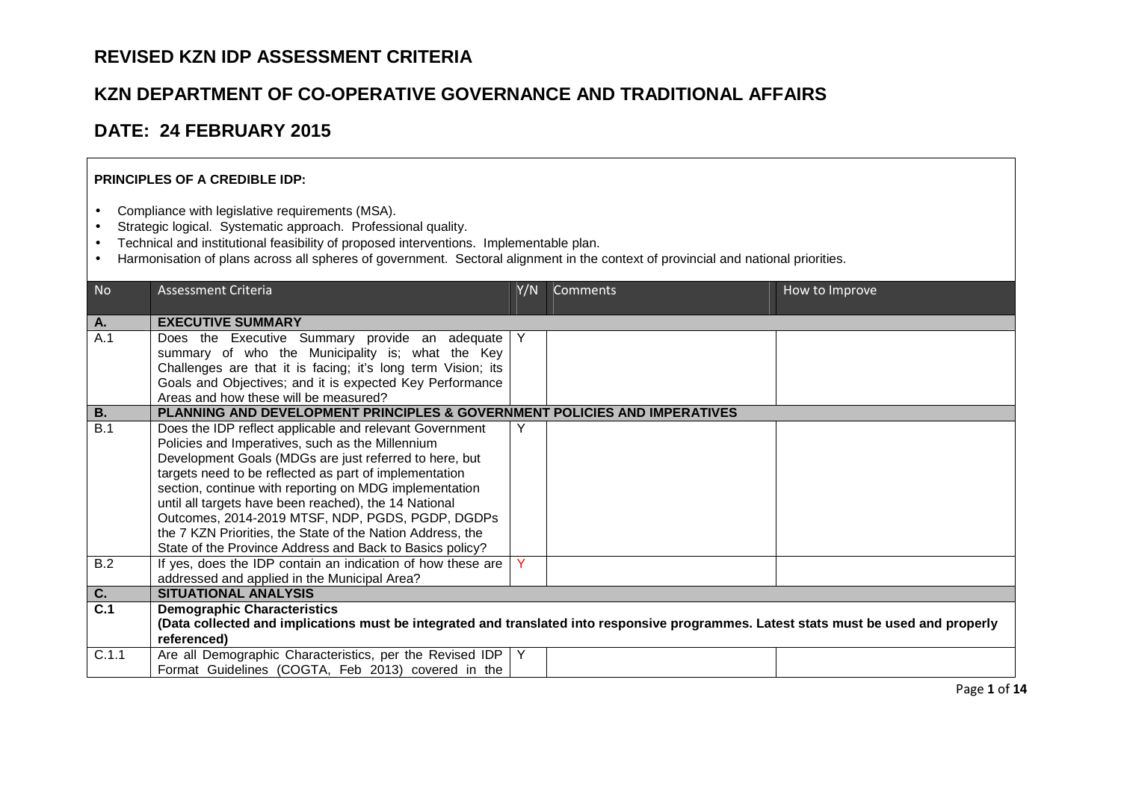## **REVISED KZN IDP ASSESSMENT CRITERIA**

## **KZN DEPARTMENT OF CO-OPERATIVE GOVERNANCE AND TRADITIONAL AFFAIRS**

## **DATE: 24 FEBRUARY 2015**

## **PRINCIPLES OF A CREDIBLE IDP:**

- Compliance with legislative requirements (MSA).
- Strategic logical. Systematic approach. Professional quality.
- Technical and institutional feasibility of proposed interventions. Implementable plan.
- Harmonisation of plans across all spheres of government. Sectoral alignment in the context of provincial and national priorities.

| N <sub>o</sub>   | <b>Assessment Criteria</b>                                                                                                            | Y/N | Comments | How to Improve |
|------------------|---------------------------------------------------------------------------------------------------------------------------------------|-----|----------|----------------|
| Α.               | <b>EXECUTIVE SUMMARY</b>                                                                                                              |     |          |                |
| A.1              | Does the Executive Summary provide an adequate                                                                                        |     |          |                |
|                  | summary of who the Municipality is; what the Key                                                                                      |     |          |                |
|                  | Challenges are that it is facing; it's long term Vision; its                                                                          |     |          |                |
|                  | Goals and Objectives; and it is expected Key Performance                                                                              |     |          |                |
|                  | Areas and how these will be measured?                                                                                                 |     |          |                |
| <b>B.</b>        | PLANNING AND DEVELOPMENT PRINCIPLES & GOVERNMENT POLICIES AND IMPERATIVES                                                             |     |          |                |
| B.1              | Does the IDP reflect applicable and relevant Government                                                                               |     |          |                |
|                  | Policies and Imperatives, such as the Millennium                                                                                      |     |          |                |
|                  | Development Goals (MDGs are just referred to here, but<br>targets need to be reflected as part of implementation                      |     |          |                |
|                  | section, continue with reporting on MDG implementation                                                                                |     |          |                |
|                  | until all targets have been reached), the 14 National                                                                                 |     |          |                |
|                  | Outcomes, 2014-2019 MTSF, NDP, PGDS, PGDP, DGDPs                                                                                      |     |          |                |
|                  | the 7 KZN Priorities, the State of the Nation Address, the                                                                            |     |          |                |
|                  | State of the Province Address and Back to Basics policy?                                                                              |     |          |                |
| B.2              | If yes, does the IDP contain an indication of how these are                                                                           | Y   |          |                |
|                  | addressed and applied in the Municipal Area?                                                                                          |     |          |                |
| $\overline{C}$ . | <b>SITUATIONAL ANALYSIS</b>                                                                                                           |     |          |                |
| $\overline{C.1}$ | <b>Demographic Characteristics</b>                                                                                                    |     |          |                |
|                  | (Data collected and implications must be integrated and translated into responsive programmes. Latest stats must be used and properly |     |          |                |
|                  | referenced)                                                                                                                           |     |          |                |
| C.1.1            | Are all Demographic Characteristics, per the Revised IDP   Y                                                                          |     |          |                |
|                  | Format Guidelines (COGTA, Feb 2013) covered in the                                                                                    |     |          |                |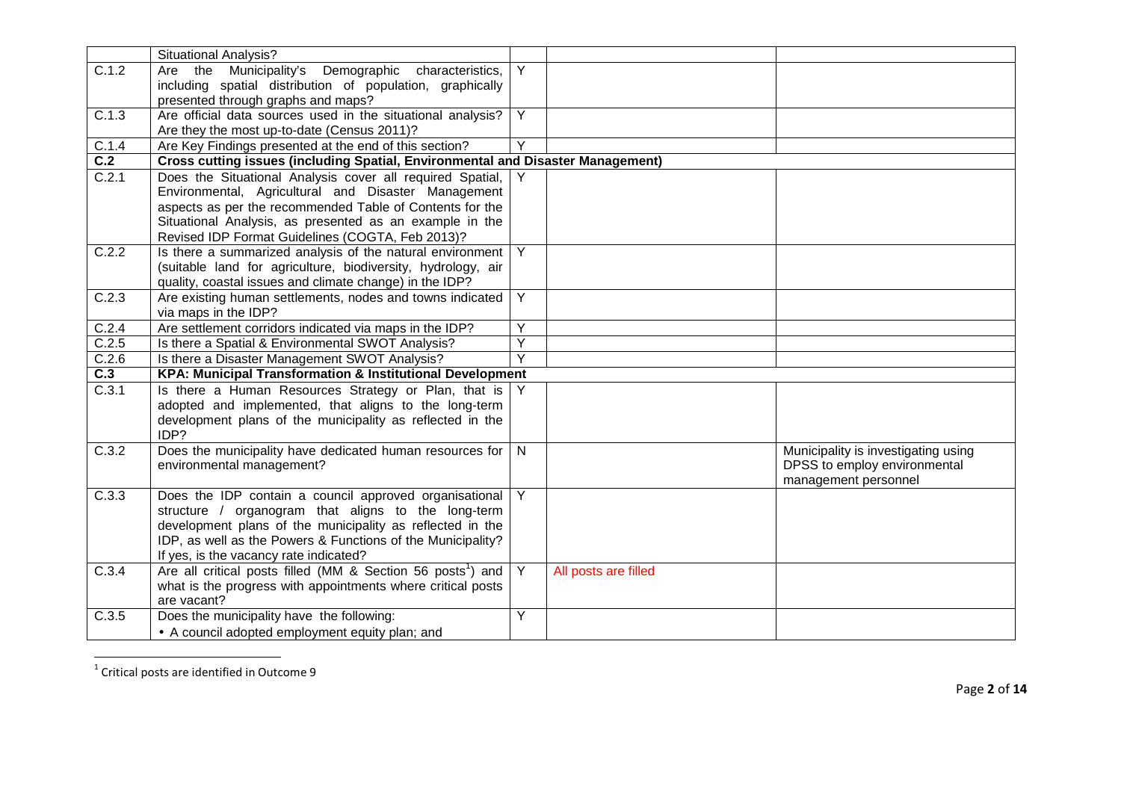|       | <b>Situational Analysis?</b>                                                    |                         |                      |                                     |
|-------|---------------------------------------------------------------------------------|-------------------------|----------------------|-------------------------------------|
| C.1.2 | Are the Municipality's<br>Demographic characteristics,                          | $\overline{Y}$          |                      |                                     |
|       | including spatial distribution of population, graphically                       |                         |                      |                                     |
|       | presented through graphs and maps?                                              |                         |                      |                                     |
| C.1.3 | Are official data sources used in the situational analysis?                     | Y                       |                      |                                     |
|       | Are they the most up-to-date (Census 2011)?                                     |                         |                      |                                     |
| C.1.4 | Are Key Findings presented at the end of this section?                          | Y                       |                      |                                     |
| C.2   | Cross cutting issues (including Spatial, Environmental and Disaster Management) |                         |                      |                                     |
| C.2.1 | Does the Situational Analysis cover all required Spatial,                       |                         |                      |                                     |
|       | Environmental, Agricultural and Disaster Management                             |                         |                      |                                     |
|       | aspects as per the recommended Table of Contents for the                        |                         |                      |                                     |
|       | Situational Analysis, as presented as an example in the                         |                         |                      |                                     |
|       | Revised IDP Format Guidelines (COGTA, Feb 2013)?                                |                         |                      |                                     |
| C.2.2 | Is there a summarized analysis of the natural environment                       | Y                       |                      |                                     |
|       | (suitable land for agriculture, biodiversity, hydrology, air                    |                         |                      |                                     |
|       | quality, coastal issues and climate change) in the IDP?                         |                         |                      |                                     |
| C.2.3 | Are existing human settlements, nodes and towns indicated                       | Y                       |                      |                                     |
|       | via maps in the IDP?                                                            |                         |                      |                                     |
| C.2.4 | Are settlement corridors indicated via maps in the IDP?                         | Υ                       |                      |                                     |
| C.2.5 | Is there a Spatial & Environmental SWOT Analysis?                               | Υ                       |                      |                                     |
| C.2.6 | Is there a Disaster Management SWOT Analysis?                                   | Y                       |                      |                                     |
| C.3   | KPA: Municipal Transformation & Institutional Development                       |                         |                      |                                     |
| C.3.1 | Is there a Human Resources Strategy or Plan, that is                            |                         |                      |                                     |
|       | adopted and implemented, that aligns to the long-term                           |                         |                      |                                     |
|       | development plans of the municipality as reflected in the                       |                         |                      |                                     |
|       | IDP?                                                                            |                         |                      |                                     |
| C.3.2 | Does the municipality have dedicated human resources for                        | $\overline{\mathsf{N}}$ |                      | Municipality is investigating using |
|       | environmental management?                                                       |                         |                      | DPSS to employ environmental        |
|       |                                                                                 |                         |                      | management personnel                |
| C.3.3 | Does the IDP contain a council approved organisational                          | Y                       |                      |                                     |
|       | structure / organogram that aligns to the long-term                             |                         |                      |                                     |
|       | development plans of the municipality as reflected in the                       |                         |                      |                                     |
|       | IDP, as well as the Powers & Functions of the Municipality?                     |                         |                      |                                     |
|       | If yes, is the vacancy rate indicated?                                          |                         |                      |                                     |
| C.3.4 | Are all critical posts filled (MM & Section 56 posts <sup>1</sup> ) and         | Y                       | All posts are filled |                                     |
|       | what is the progress with appointments where critical posts                     |                         |                      |                                     |
|       | are vacant?                                                                     |                         |                      |                                     |
| C.3.5 | Does the municipality have the following:                                       | Y                       |                      |                                     |
|       | • A council adopted employment equity plan; and                                 |                         |                      |                                     |

 $^1$  Critical posts are identified in Outcome 9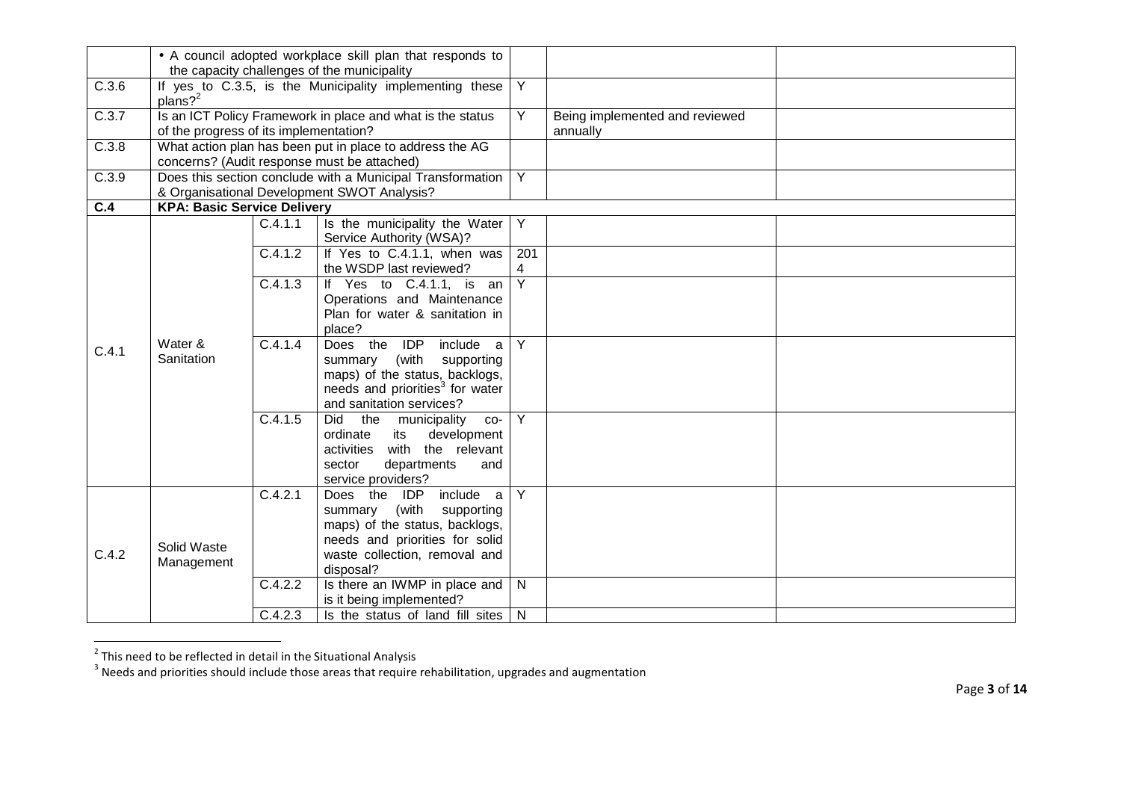|                  | • A council adopted workplace skill plan that responds to<br>the capacity challenges of the municipality |         |                                                                                                                                                                          |                       |                                            |  |
|------------------|----------------------------------------------------------------------------------------------------------|---------|--------------------------------------------------------------------------------------------------------------------------------------------------------------------------|-----------------------|--------------------------------------------|--|
| C.3.6            | $plans?$ <sup>2</sup>                                                                                    |         | If yes to C.3.5, is the Municipality implementing these                                                                                                                  | $\overline{Y}$        |                                            |  |
| C.3.7            | of the progress of its implementation?                                                                   |         | Is an ICT Policy Framework in place and what is the status                                                                                                               | Y                     | Being implemented and reviewed<br>annually |  |
| C.3.8            |                                                                                                          |         | What action plan has been put in place to address the AG<br>concerns? (Audit response must be attached)                                                                  |                       |                                            |  |
| C.3.9            |                                                                                                          |         | Does this section conclude with a Municipal Transformation<br>& Organisational Development SWOT Analysis?                                                                | $\overline{Y}$        |                                            |  |
| $\overline{C.4}$ | <b>KPA: Basic Service Delivery</b>                                                                       |         |                                                                                                                                                                          |                       |                                            |  |
|                  |                                                                                                          | C.4.1.1 | Is the municipality the Water<br>Service Authority (WSA)?                                                                                                                | Y                     |                                            |  |
|                  |                                                                                                          | C.4.1.2 | If Yes to C.4.1.1, when was<br>the WSDP last reviewed?                                                                                                                   | 201<br>$\overline{4}$ |                                            |  |
|                  |                                                                                                          | C.4.1.3 | If Yes to C.4.1.1, is an<br>Operations and Maintenance<br>Plan for water & sanitation in<br>place?                                                                       | $\overline{Y}$        |                                            |  |
| C.4.1            | Water &<br>Sanitation                                                                                    | C.4.1.4 | Does the<br>IDP<br>include<br>a<br>summary (with supporting<br>maps) of the status, backlogs,<br>needs and priorities <sup>3</sup> for water<br>and sanitation services? | $\overline{Y}$        |                                            |  |
|                  |                                                                                                          | C.4.1.5 | the<br>Did<br>municipality<br>CO-<br>ordinate<br>its<br>development<br>with the relevant<br>activities<br>sector<br>departments<br>and<br>service providers?             | Y                     |                                            |  |
| C.4.2            | Solid Waste<br>Management                                                                                | C.4.2.1 | Does the IDP include<br>a<br>summary (with supporting<br>maps) of the status, backlogs,<br>needs and priorities for solid<br>waste collection, removal and<br>disposal?  | Y                     |                                            |  |
|                  |                                                                                                          | C.4.2.2 | Is there an IWMP in place and<br>is it being implemented?                                                                                                                | N                     |                                            |  |
|                  |                                                                                                          | C.4.2.3 | Is the status of land fill sites                                                                                                                                         | $\mathsf{N}$          |                                            |  |

 $^2$  This need to be reflected in detail in the Situational Analysis<br><sup>3</sup> Needs and priorities should include those areas that require rehabilitation, upgrades and augmentation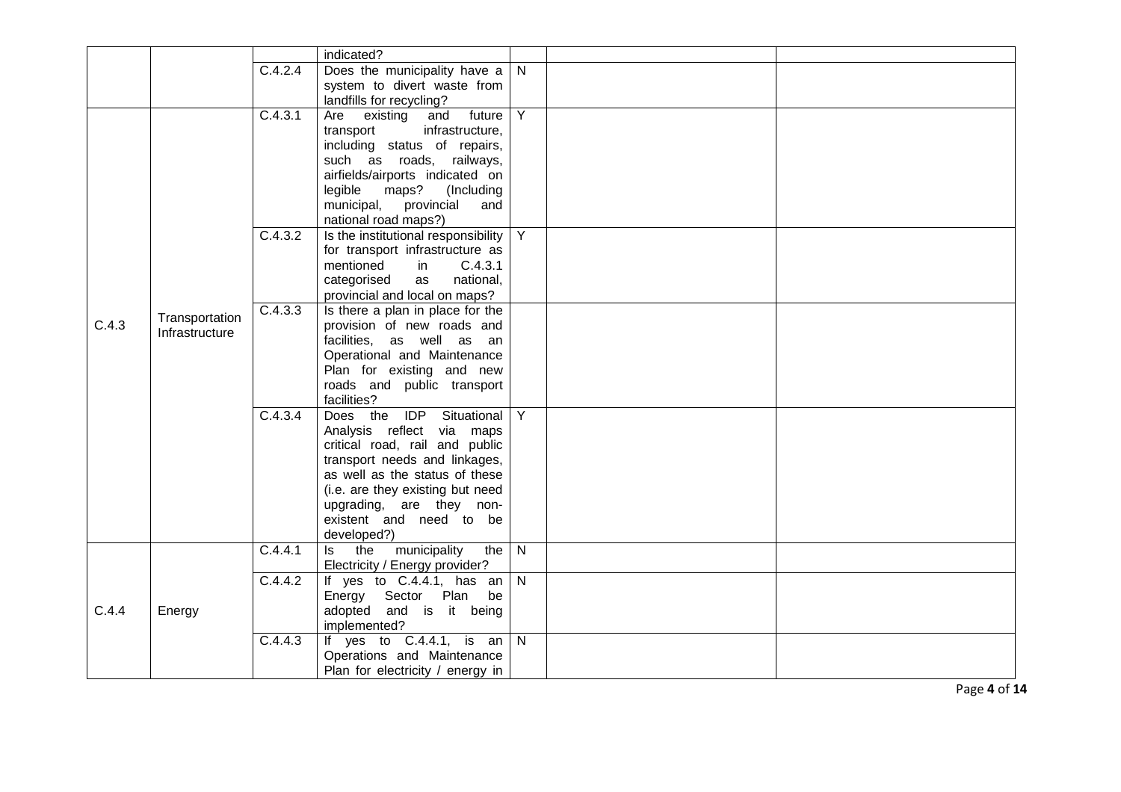|       |                |         | indicated?                                              |                |  |
|-------|----------------|---------|---------------------------------------------------------|----------------|--|
|       |                | C.4.2.4 | Does the municipality have a                            | N              |  |
|       |                |         | system to divert waste from                             |                |  |
|       |                |         | landfills for recycling?                                |                |  |
|       |                | C.4.3.1 | Are<br>and<br>future<br>existing                        | Y              |  |
|       |                |         | infrastructure,<br>transport                            |                |  |
|       |                |         | including status of repairs,                            |                |  |
|       |                |         | such as roads, railways,                                |                |  |
|       |                |         | airfields/airports indicated on                         |                |  |
|       |                |         | legible<br>maps?<br>(Including                          |                |  |
|       |                |         | municipal, provincial<br>and                            |                |  |
|       |                |         | national road maps?)                                    |                |  |
|       |                | C.4.3.2 | Is the institutional responsibility                     | $\overline{Y}$ |  |
|       |                |         | for transport infrastructure as                         |                |  |
|       |                |         | mentioned<br>C.4.3.1<br>in                              |                |  |
|       |                |         | categorised<br>national,<br>as                          |                |  |
|       |                |         | provincial and local on maps?                           |                |  |
| C.4.3 | Transportation | C.4.3.3 | Is there a plan in place for the                        |                |  |
|       | Infrastructure |         | provision of new roads and<br>facilities, as well as an |                |  |
|       |                |         | Operational and Maintenance                             |                |  |
|       |                |         | Plan for existing and new                               |                |  |
|       |                |         | roads and public transport                              |                |  |
|       |                |         | facilities?                                             |                |  |
|       |                | C.4.3.4 | Does the IDP Situational                                | $\overline{Y}$ |  |
|       |                |         | Analysis reflect via maps                               |                |  |
|       |                |         | critical road, rail and public                          |                |  |
|       |                |         | transport needs and linkages,                           |                |  |
|       |                |         | as well as the status of these                          |                |  |
|       |                |         | (i.e. are they existing but need                        |                |  |
|       |                |         | upgrading, are they non-                                |                |  |
|       |                |         | existent and need to be                                 |                |  |
|       |                |         | developed?)                                             |                |  |
|       |                | C.4.4.1 | the municipality<br>the<br>ls l                         | N              |  |
|       |                |         | Electricity / Energy provider?                          |                |  |
|       |                | C.4.4.2 | If yes to $C.4.4.1$ , has an                            | $\overline{N}$ |  |
|       |                |         | Energy Sector Plan be                                   |                |  |
| C.4.4 | Energy         |         | adopted and is it being<br>implemented?                 |                |  |
|       |                | C.4.4.3 | If yes to $C.4.4.1$ , is an N                           |                |  |
|       |                |         | Operations and Maintenance                              |                |  |
|       |                |         | Plan for electricity / energy in                        |                |  |
|       |                |         |                                                         |                |  |

Page **4** of **14**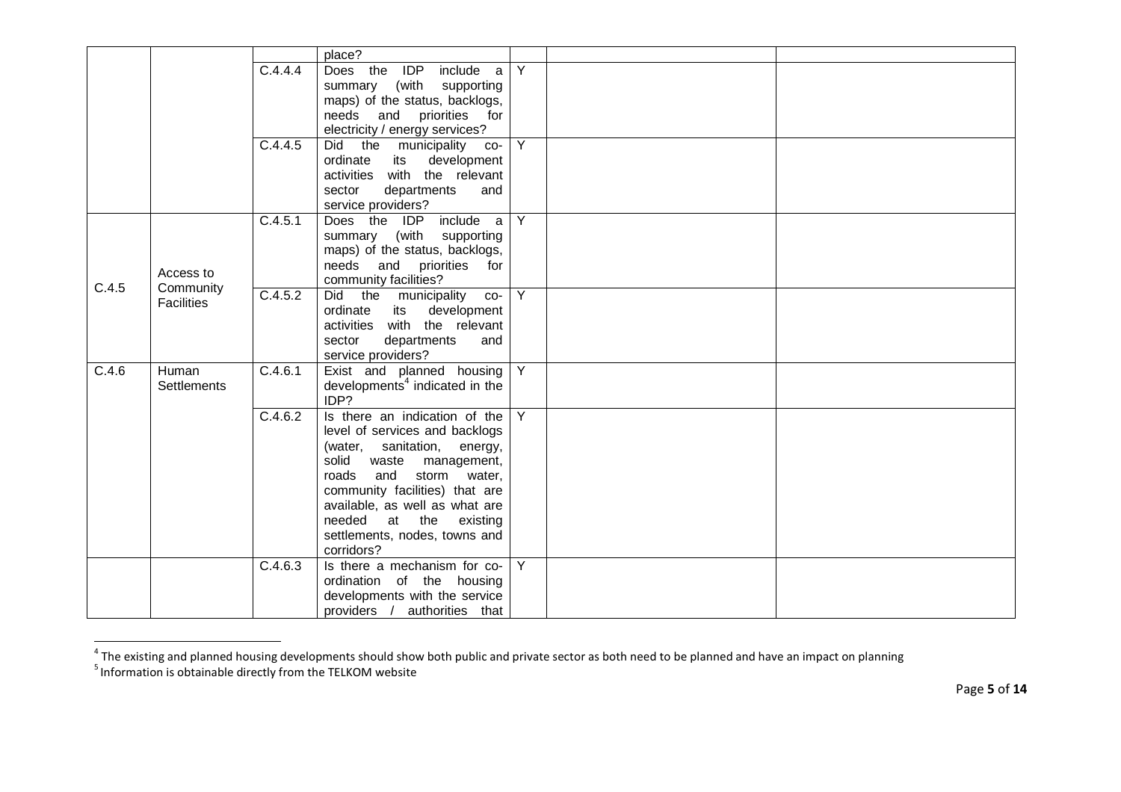|       |                    |         | place?                                     |                |  |
|-------|--------------------|---------|--------------------------------------------|----------------|--|
|       |                    | C.4.4.4 | Does the IDP include a                     | $\overline{Y}$ |  |
|       |                    |         | summary (with supporting                   |                |  |
|       |                    |         | maps) of the status, backlogs,             |                |  |
|       |                    |         | needs and priorities for                   |                |  |
|       |                    |         | electricity / energy services?             |                |  |
|       |                    | C.4.4.5 | Did the municipality<br>$CO-$              | $\overline{Y}$ |  |
|       |                    |         | ordinate<br>development<br>its             |                |  |
|       |                    |         | activities with the relevant               |                |  |
|       |                    |         | sector<br>departments<br>and               |                |  |
|       |                    |         | service providers?                         |                |  |
|       |                    | C.4.5.1 | Does the IDP include a                     | $\overline{Y}$ |  |
|       |                    |         | summary (with supporting                   |                |  |
|       |                    |         | maps) of the status, backlogs,             |                |  |
|       | Access to          |         | needs and priorities for                   |                |  |
| C.4.5 | Community          |         | community facilities?                      |                |  |
|       | <b>Facilities</b>  | C.4.5.2 | Did the municipality<br>$CO-$              | $\overline{Y}$ |  |
|       |                    |         | ordinate<br>its development                |                |  |
|       |                    |         | activities with the relevant               |                |  |
|       |                    |         | departments<br>sector<br>and               |                |  |
|       |                    |         | service providers?                         |                |  |
| C.4.6 | Human              | C.4.6.1 | Exist and planned housing                  | Y              |  |
|       | <b>Settlements</b> |         | developments <sup>4</sup> indicated in the |                |  |
|       |                    |         | IDP?                                       |                |  |
|       |                    | C.4.6.2 | Is there an indication of the              | Y              |  |
|       |                    |         | level of services and backlogs             |                |  |
|       |                    |         | (water, sanitation, energy,                |                |  |
|       |                    |         | solid<br>waste management,                 |                |  |
|       |                    |         | and storm water,<br>roads                  |                |  |
|       |                    |         | community facilities) that are             |                |  |
|       |                    |         | available, as well as what are             |                |  |
|       |                    |         | needed<br>at the<br>existing               |                |  |
|       |                    |         | settlements, nodes, towns and              |                |  |
|       |                    |         | corridors?                                 |                |  |
|       |                    | C.4.6.3 | Is there a mechanism for co-               | Y              |  |
|       |                    |         | ordination of the housing                  |                |  |
|       |                    |         | developments with the service              |                |  |
|       |                    |         | providers / authorities that               |                |  |

<sup>&</sup>lt;sup>4</sup> The existing and planned housing developments should show both public and private sector as both need to be planned and have an impact on planning<br><sup>5</sup> Information is obtainable directly from the TELKOM website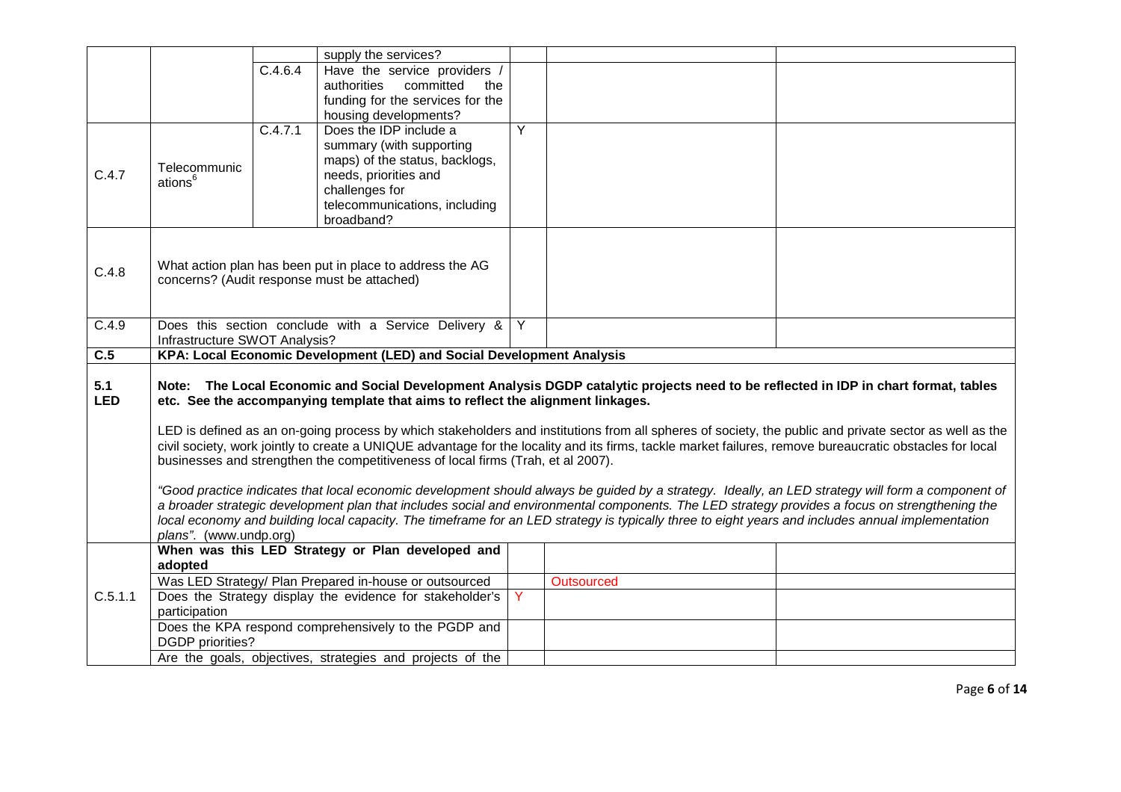|                  |                                                                                                                                                |         | supply the services?                                                             |   |            |                                                                                                                                                          |
|------------------|------------------------------------------------------------------------------------------------------------------------------------------------|---------|----------------------------------------------------------------------------------|---|------------|----------------------------------------------------------------------------------------------------------------------------------------------------------|
|                  |                                                                                                                                                | C.4.6.4 | Have the service providers /                                                     |   |            |                                                                                                                                                          |
|                  |                                                                                                                                                |         | authorities committed<br>the                                                     |   |            |                                                                                                                                                          |
|                  |                                                                                                                                                |         | funding for the services for the                                                 |   |            |                                                                                                                                                          |
|                  |                                                                                                                                                |         | housing developments?                                                            |   |            |                                                                                                                                                          |
|                  |                                                                                                                                                | C.4.7.1 | Does the IDP include a                                                           | Y |            |                                                                                                                                                          |
|                  |                                                                                                                                                |         | summary (with supporting                                                         |   |            |                                                                                                                                                          |
|                  | Telecommunic                                                                                                                                   |         | maps) of the status, backlogs,                                                   |   |            |                                                                                                                                                          |
| C.4.7            | ations <sup>6</sup>                                                                                                                            |         | needs, priorities and                                                            |   |            |                                                                                                                                                          |
|                  |                                                                                                                                                |         | challenges for                                                                   |   |            |                                                                                                                                                          |
|                  |                                                                                                                                                |         | telecommunications, including                                                    |   |            |                                                                                                                                                          |
|                  |                                                                                                                                                |         | broadband?                                                                       |   |            |                                                                                                                                                          |
|                  |                                                                                                                                                |         |                                                                                  |   |            |                                                                                                                                                          |
|                  |                                                                                                                                                |         |                                                                                  |   |            |                                                                                                                                                          |
| C.4.8            |                                                                                                                                                |         | What action plan has been put in place to address the AG                         |   |            |                                                                                                                                                          |
|                  |                                                                                                                                                |         | concerns? (Audit response must be attached)                                      |   |            |                                                                                                                                                          |
|                  |                                                                                                                                                |         |                                                                                  |   |            |                                                                                                                                                          |
| C.4.9            |                                                                                                                                                |         | Does this section conclude with a Service Delivery &                             | Y |            |                                                                                                                                                          |
|                  | Infrastructure SWOT Analysis?                                                                                                                  |         |                                                                                  |   |            |                                                                                                                                                          |
| $\overline{C.5}$ |                                                                                                                                                |         | KPA: Local Economic Development (LED) and Social Development Analysis            |   |            |                                                                                                                                                          |
|                  |                                                                                                                                                |         |                                                                                  |   |            |                                                                                                                                                          |
| 5.1              |                                                                                                                                                |         |                                                                                  |   |            | Note: The Local Economic and Social Development Analysis DGDP catalytic projects need to be reflected in IDP in chart format, tables                     |
| <b>LED</b>       |                                                                                                                                                |         | etc. See the accompanying template that aims to reflect the alignment linkages.  |   |            |                                                                                                                                                          |
|                  |                                                                                                                                                |         |                                                                                  |   |            |                                                                                                                                                          |
|                  |                                                                                                                                                |         |                                                                                  |   |            | LED is defined as an on-going process by which stakeholders and institutions from all spheres of society, the public and private sector as well as the   |
|                  |                                                                                                                                                |         |                                                                                  |   |            | civil society, work jointly to create a UNIQUE advantage for the locality and its firms, tackle market failures, remove bureaucratic obstacles for local |
|                  |                                                                                                                                                |         | businesses and strengthen the competitiveness of local firms (Trah, et al 2007). |   |            |                                                                                                                                                          |
|                  |                                                                                                                                                |         |                                                                                  |   |            |                                                                                                                                                          |
|                  |                                                                                                                                                |         |                                                                                  |   |            | "Good practice indicates that local economic development should always be guided by a strategy. Ideally, an LED strategy will form a component of        |
|                  | a broader strategic development plan that includes social and environmental components. The LED strategy provides a focus on strengthening the |         |                                                                                  |   |            |                                                                                                                                                          |
|                  |                                                                                                                                                |         |                                                                                  |   |            | local economy and building local capacity. The timeframe for an LED strategy is typically three to eight years and includes annual implementation        |
|                  | plans". (www.undp.org)                                                                                                                         |         |                                                                                  |   |            |                                                                                                                                                          |
|                  |                                                                                                                                                |         | When was this LED Strategy or Plan developed and                                 |   |            |                                                                                                                                                          |
|                  | adopted                                                                                                                                        |         |                                                                                  |   |            |                                                                                                                                                          |
|                  |                                                                                                                                                |         | Was LED Strategy/ Plan Prepared in-house or outsourced                           |   | Outsourced |                                                                                                                                                          |
| C.5.1.1          |                                                                                                                                                |         | Does the Strategy display the evidence for stakeholder's                         | Y |            |                                                                                                                                                          |
|                  | participation                                                                                                                                  |         |                                                                                  |   |            |                                                                                                                                                          |
|                  |                                                                                                                                                |         | Does the KPA respond comprehensively to the PGDP and                             |   |            |                                                                                                                                                          |
|                  | <b>DGDP</b> priorities?                                                                                                                        |         |                                                                                  |   |            |                                                                                                                                                          |
|                  |                                                                                                                                                |         | Are the goals, objectives, strategies and projects of the                        |   |            |                                                                                                                                                          |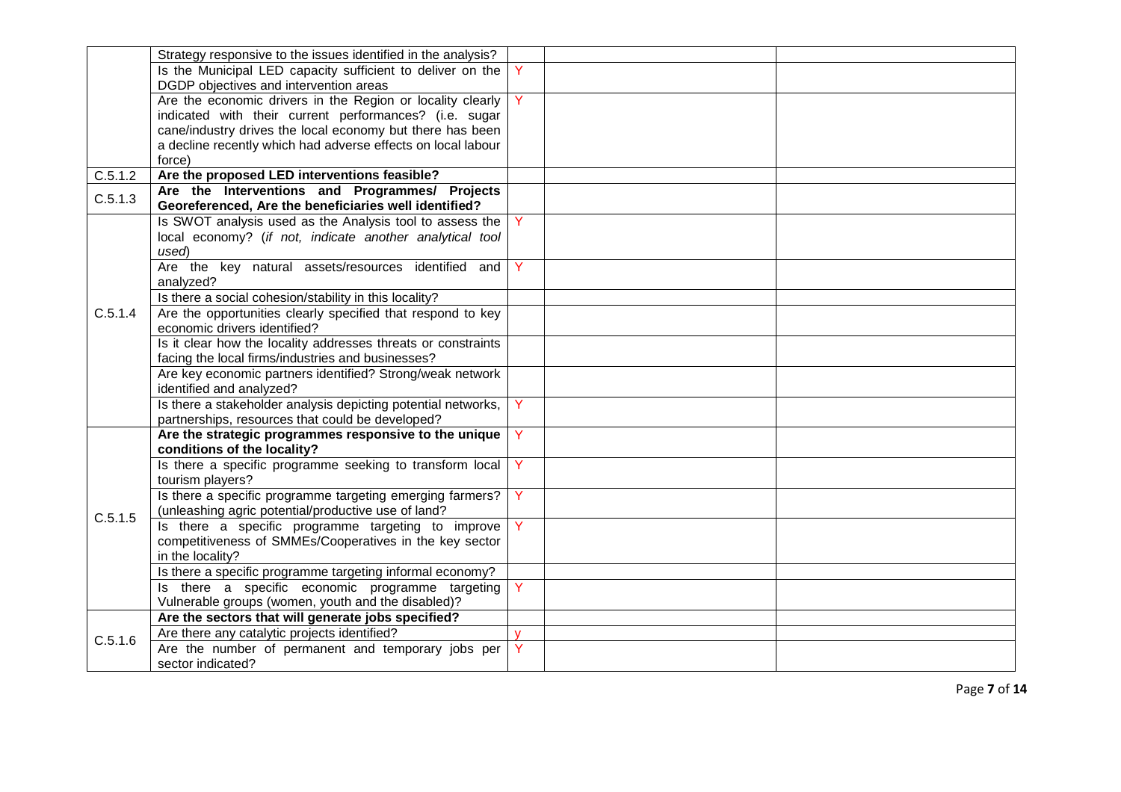|         | Strategy responsive to the issues identified in the analysis? |              |  |
|---------|---------------------------------------------------------------|--------------|--|
|         | Is the Municipal LED capacity sufficient to deliver on the    |              |  |
|         | DGDP objectives and intervention areas                        |              |  |
|         | Are the economic drivers in the Region or locality clearly    | Ÿ.           |  |
|         | indicated with their current performances? (i.e. sugar        |              |  |
|         | cane/industry drives the local economy but there has been     |              |  |
|         | a decline recently which had adverse effects on local labour  |              |  |
|         | force)                                                        |              |  |
| C.5.1.2 | Are the proposed LED interventions feasible?                  |              |  |
| C.5.1.3 | Are the Interventions and Programmes/ Projects                |              |  |
|         | Georeferenced, Are the beneficiaries well identified?         |              |  |
|         | Is SWOT analysis used as the Analysis tool to assess the      |              |  |
|         | local economy? (if not, indicate another analytical tool      |              |  |
|         | used)                                                         |              |  |
|         | Are the key natural assets/resources identified and           | Y            |  |
|         | analyzed?                                                     |              |  |
|         | Is there a social cohesion/stability in this locality?        |              |  |
| C.5.1.4 | Are the opportunities clearly specified that respond to key   |              |  |
|         | economic drivers identified?                                  |              |  |
|         | Is it clear how the locality addresses threats or constraints |              |  |
|         | facing the local firms/industries and businesses?             |              |  |
|         | Are key economic partners identified? Strong/weak network     |              |  |
|         | identified and analyzed?                                      |              |  |
|         | Is there a stakeholder analysis depicting potential networks, |              |  |
|         | partnerships, resources that could be developed?              |              |  |
|         | Are the strategic programmes responsive to the unique         | Y            |  |
|         | conditions of the locality?                                   |              |  |
|         | Is there a specific programme seeking to transform local      | Y            |  |
|         | tourism players?                                              |              |  |
|         | Is there a specific programme targeting emerging farmers?     | Y            |  |
| C.5.1.5 | (unleashing agric potential/productive use of land?           |              |  |
|         | Is there a specific programme targeting to improve            | Y            |  |
|         | competitiveness of SMMEs/Cooperatives in the key sector       |              |  |
|         | in the locality?                                              |              |  |
|         | Is there a specific programme targeting informal economy?     |              |  |
|         | Is there a specific economic programme targeting              | Y            |  |
|         | Vulnerable groups (women, youth and the disabled)?            |              |  |
|         | Are the sectors that will generate jobs specified?            |              |  |
| C.5.1.6 | Are there any catalytic projects identified?                  | $\mathbf{V}$ |  |
|         | Are the number of permanent and temporary jobs per            |              |  |
|         | sector indicated?                                             |              |  |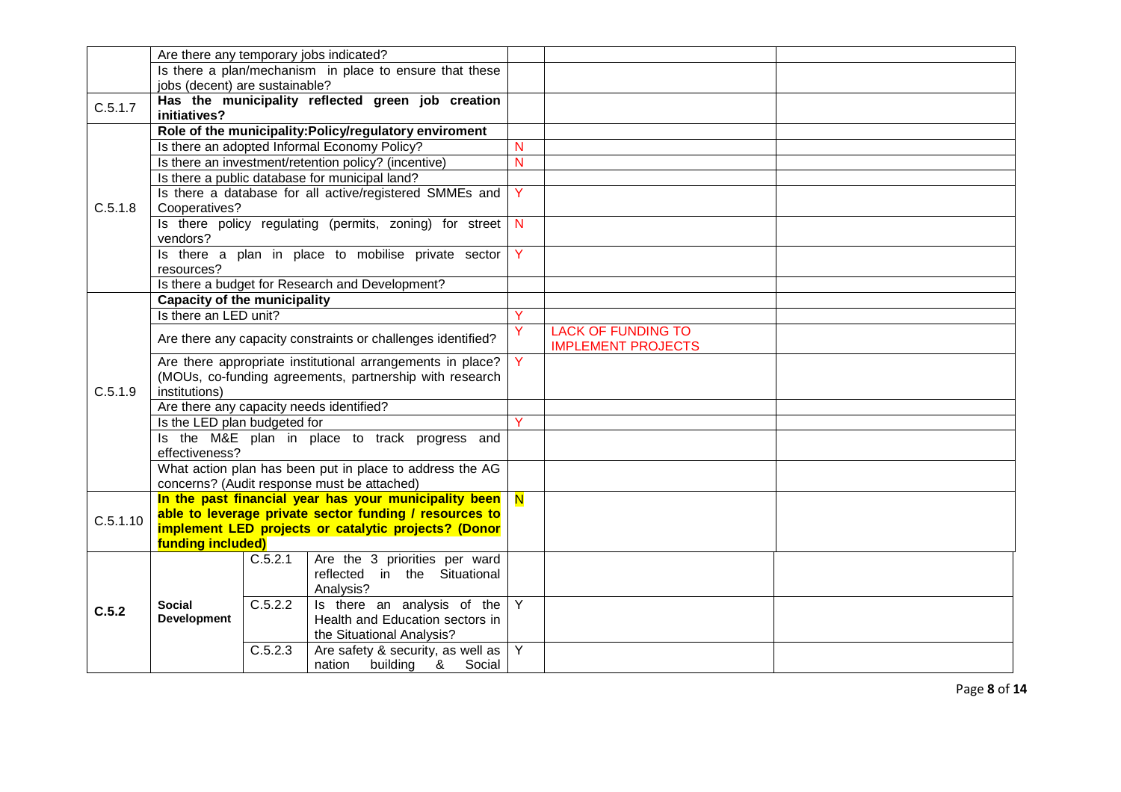|          | Are there any temporary jobs indicated?                      |                                                                                                                                |                |                           |  |
|----------|--------------------------------------------------------------|--------------------------------------------------------------------------------------------------------------------------------|----------------|---------------------------|--|
|          |                                                              | Is there a plan/mechanism in place to ensure that these                                                                        |                |                           |  |
|          | jobs (decent) are sustainable?                               |                                                                                                                                |                |                           |  |
| C.5.1.7  |                                                              | Has the municipality reflected green job creation                                                                              |                |                           |  |
|          | initiatives?                                                 |                                                                                                                                |                |                           |  |
|          |                                                              | Role of the municipality: Policy/regulatory enviroment                                                                         |                |                           |  |
|          |                                                              | Is there an adopted Informal Economy Policy?                                                                                   | N              |                           |  |
|          |                                                              | Is there an investment/retention policy? (incentive)                                                                           | $\overline{N}$ |                           |  |
|          |                                                              | Is there a public database for municipal land?                                                                                 |                |                           |  |
|          |                                                              | Is there a database for all active/registered SMMEs and                                                                        | Y              |                           |  |
| C.5.1.8  | Cooperatives?                                                |                                                                                                                                |                |                           |  |
|          |                                                              | Is there policy regulating (permits, zoning) for street                                                                        | <b>N</b>       |                           |  |
|          | vendors?                                                     |                                                                                                                                |                |                           |  |
|          |                                                              | Is there a plan in place to mobilise private sector                                                                            | Y              |                           |  |
|          | resources?                                                   |                                                                                                                                |                |                           |  |
|          |                                                              | Is there a budget for Research and Development?                                                                                |                |                           |  |
|          | <b>Capacity of the municipality</b>                          |                                                                                                                                | Y              |                           |  |
|          | Is there an LED unit?                                        |                                                                                                                                |                |                           |  |
|          | Are there any capacity constraints or challenges identified? |                                                                                                                                |                | <b>LACK OF FUNDING TO</b> |  |
|          |                                                              |                                                                                                                                | Y.             | <b>IMPLEMENT PROJECTS</b> |  |
|          | Are there appropriate institutional arrangements in place?   |                                                                                                                                |                |                           |  |
|          |                                                              | (MOUs, co-funding agreements, partnership with research                                                                        |                |                           |  |
| C.5.1.9  | institutions)                                                |                                                                                                                                |                |                           |  |
|          | Are there any capacity needs identified?                     |                                                                                                                                |                |                           |  |
|          | Is the LED plan budgeted for                                 |                                                                                                                                | Ÿ              |                           |  |
|          |                                                              | Is the M&E plan in place to track progress and                                                                                 |                |                           |  |
|          | effectiveness?                                               |                                                                                                                                |                |                           |  |
|          |                                                              | What action plan has been put in place to address the AG                                                                       |                |                           |  |
|          |                                                              | concerns? (Audit response must be attached)                                                                                    |                |                           |  |
|          |                                                              | In the past financial year has your municipality been $\overline{N}$<br>able to leverage private sector funding / resources to |                |                           |  |
| C.5.1.10 |                                                              | implement LED projects or catalytic projects? (Donor                                                                           |                |                           |  |
|          | funding included)                                            |                                                                                                                                |                |                           |  |
|          | C.5.2.1                                                      | Are the 3 priorities per ward                                                                                                  |                |                           |  |
|          |                                                              | reflected in the Situational                                                                                                   |                |                           |  |
|          |                                                              | Analysis?                                                                                                                      |                |                           |  |
|          | C.5.2.2<br><b>Social</b>                                     | Is there an analysis of the                                                                                                    | $\overline{Y}$ |                           |  |
| C.5.2    | <b>Development</b>                                           | Health and Education sectors in                                                                                                |                |                           |  |
|          |                                                              | the Situational Analysis?                                                                                                      |                |                           |  |
|          | C.5.2.3                                                      | Are safety & security, as well as $\vert$ Y                                                                                    |                |                           |  |
|          |                                                              | nation building &<br>Social                                                                                                    |                |                           |  |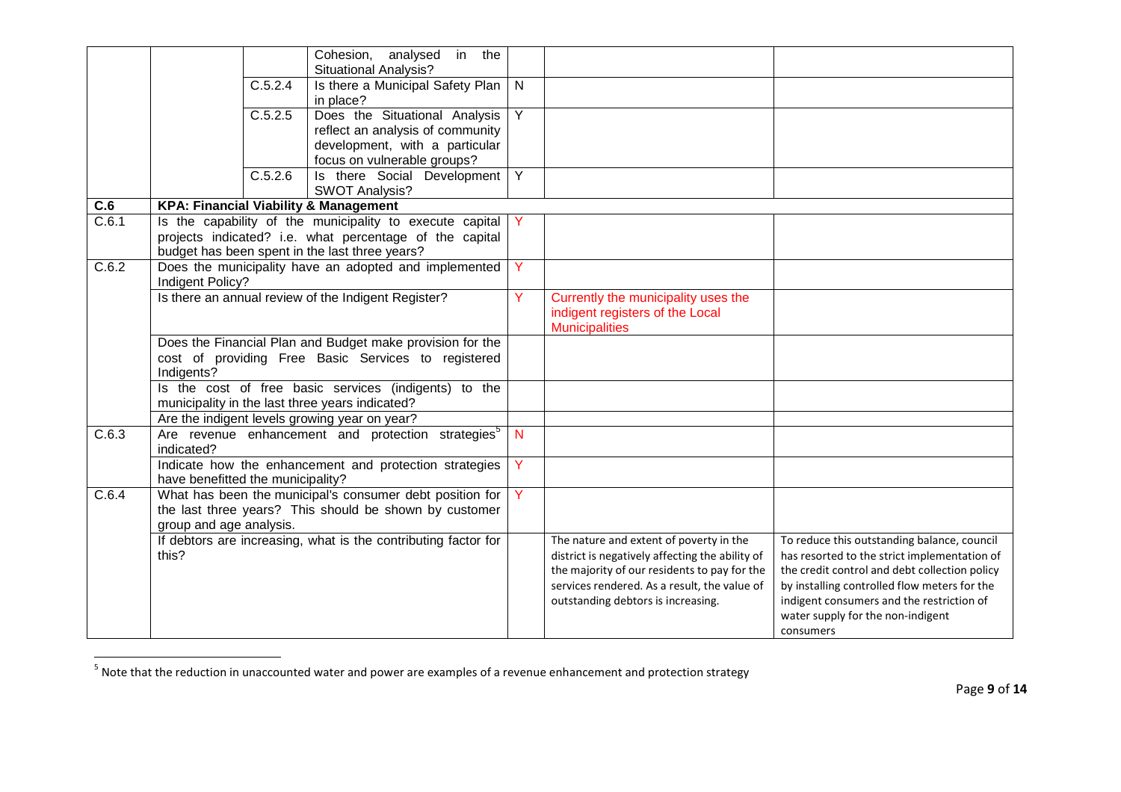|                  |                                   |         | Cohesion, analysed in the<br><b>Situational Analysis?</b>                                                                                                             |              |                                                                                                                                                                                                                                  |                                                                                                                                                                                                                                                                                             |
|------------------|-----------------------------------|---------|-----------------------------------------------------------------------------------------------------------------------------------------------------------------------|--------------|----------------------------------------------------------------------------------------------------------------------------------------------------------------------------------------------------------------------------------|---------------------------------------------------------------------------------------------------------------------------------------------------------------------------------------------------------------------------------------------------------------------------------------------|
|                  |                                   | C.5.2.4 | Is there a Municipal Safety Plan<br>in place?                                                                                                                         | $\mathsf{N}$ |                                                                                                                                                                                                                                  |                                                                                                                                                                                                                                                                                             |
|                  |                                   | C.5.2.5 | Does the Situational Analysis<br>reflect an analysis of community<br>development, with a particular<br>focus on vulnerable groups?                                    | Y            |                                                                                                                                                                                                                                  |                                                                                                                                                                                                                                                                                             |
|                  |                                   | C.5.2.6 | Is there Social Development<br><b>SWOT Analysis?</b>                                                                                                                  | Y            |                                                                                                                                                                                                                                  |                                                                                                                                                                                                                                                                                             |
| $\overline{C.6}$ |                                   |         | <b>KPA: Financial Viability &amp; Management</b>                                                                                                                      |              |                                                                                                                                                                                                                                  |                                                                                                                                                                                                                                                                                             |
| C.6.1            |                                   |         | Is the capability of the municipality to execute capital<br>projects indicated? i.e. what percentage of the capital<br>budget has been spent in the last three years? | Y            |                                                                                                                                                                                                                                  |                                                                                                                                                                                                                                                                                             |
| C.6.2            | Indigent Policy?                  |         | Does the municipality have an adopted and implemented                                                                                                                 | Y            |                                                                                                                                                                                                                                  |                                                                                                                                                                                                                                                                                             |
|                  |                                   |         | Is there an annual review of the Indigent Register?                                                                                                                   | Y            | Currently the municipality uses the<br>indigent registers of the Local<br><b>Municipalities</b>                                                                                                                                  |                                                                                                                                                                                                                                                                                             |
|                  | Indigents?                        |         | Does the Financial Plan and Budget make provision for the<br>cost of providing Free Basic Services to registered                                                      |              |                                                                                                                                                                                                                                  |                                                                                                                                                                                                                                                                                             |
|                  |                                   |         | Is the cost of free basic services (indigents) to the<br>municipality in the last three years indicated?                                                              |              |                                                                                                                                                                                                                                  |                                                                                                                                                                                                                                                                                             |
|                  |                                   |         | Are the indigent levels growing year on year?                                                                                                                         |              |                                                                                                                                                                                                                                  |                                                                                                                                                                                                                                                                                             |
| C.6.3            | indicated?                        |         | Are revenue enhancement and protection strategies <sup>5</sup>                                                                                                        | $\mathsf{N}$ |                                                                                                                                                                                                                                  |                                                                                                                                                                                                                                                                                             |
|                  | have benefitted the municipality? |         | Indicate how the enhancement and protection strategies                                                                                                                | Y            |                                                                                                                                                                                                                                  |                                                                                                                                                                                                                                                                                             |
| C.6.4            | group and age analysis.           |         | What has been the municipal's consumer debt position for<br>the last three years? This should be shown by customer                                                    | Y            |                                                                                                                                                                                                                                  |                                                                                                                                                                                                                                                                                             |
|                  | this?                             |         | If debtors are increasing, what is the contributing factor for                                                                                                        |              | The nature and extent of poverty in the<br>district is negatively affecting the ability of<br>the majority of our residents to pay for the<br>services rendered. As a result, the value of<br>outstanding debtors is increasing. | To reduce this outstanding balance, council<br>has resorted to the strict implementation of<br>the credit control and debt collection policy<br>by installing controlled flow meters for the<br>indigent consumers and the restriction of<br>water supply for the non-indigent<br>consumers |

 $5$  Note that the reduction in unaccounted water and power are examples of a revenue enhancement and protection strategy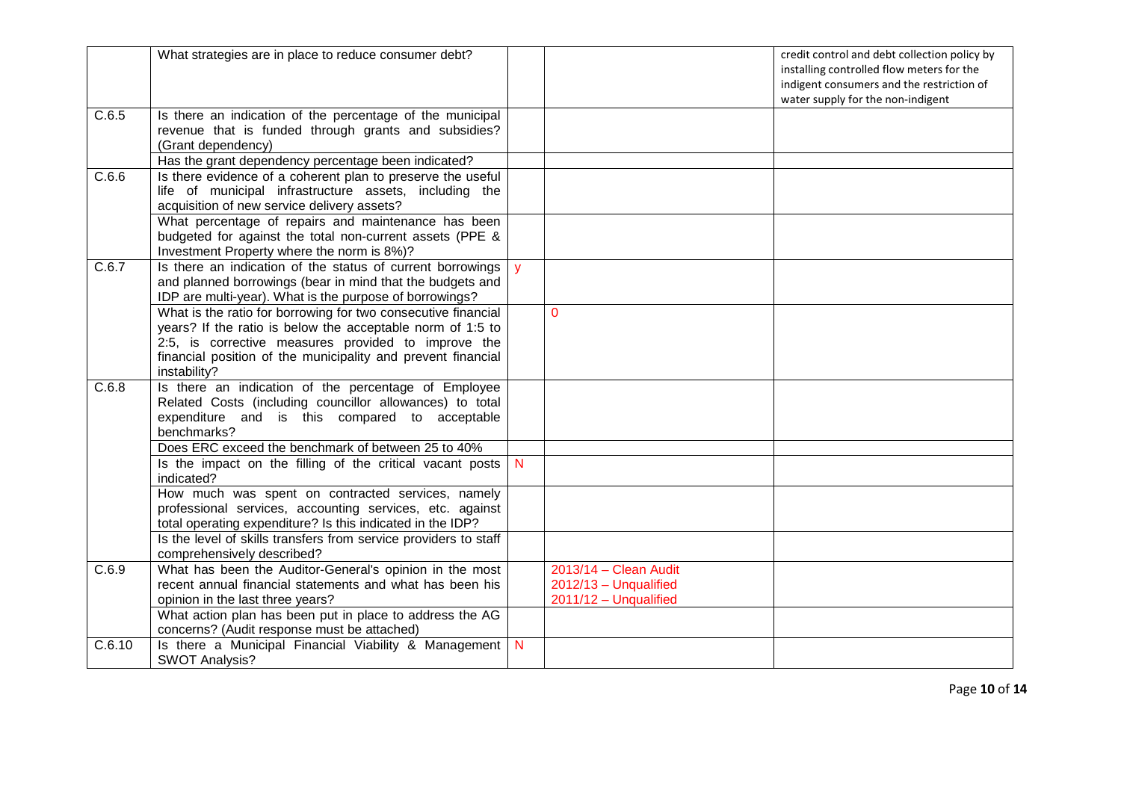|        | What strategies are in place to reduce consumer debt?                                                                                                                                                                                                              |              | credit control and debt collection policy by<br>installing controlled flow meters for the<br>indigent consumers and the restriction of<br>water supply for the non-indigent |
|--------|--------------------------------------------------------------------------------------------------------------------------------------------------------------------------------------------------------------------------------------------------------------------|--------------|-----------------------------------------------------------------------------------------------------------------------------------------------------------------------------|
| C.6.5  | Is there an indication of the percentage of the municipal<br>revenue that is funded through grants and subsidies?<br>(Grant dependency)                                                                                                                            |              |                                                                                                                                                                             |
|        | Has the grant dependency percentage been indicated?                                                                                                                                                                                                                |              |                                                                                                                                                                             |
| C.6.6  | Is there evidence of a coherent plan to preserve the useful<br>life of municipal infrastructure assets, including the<br>acquisition of new service delivery assets?                                                                                               |              |                                                                                                                                                                             |
|        | What percentage of repairs and maintenance has been<br>budgeted for against the total non-current assets (PPE &<br>Investment Property where the norm is 8%)?                                                                                                      |              |                                                                                                                                                                             |
| C.6.7  | Is there an indication of the status of current borrowings<br>and planned borrowings (bear in mind that the budgets and<br>IDP are multi-year). What is the purpose of borrowings?                                                                                 |              |                                                                                                                                                                             |
|        | What is the ratio for borrowing for two consecutive financial<br>years? If the ratio is below the acceptable norm of 1:5 to<br>2:5, is corrective measures provided to improve the<br>financial position of the municipality and prevent financial<br>instability? |              | $\Omega$                                                                                                                                                                    |
| C.6.8  | Is there an indication of the percentage of Employee<br>Related Costs (including councillor allowances) to total<br>expenditure and is this compared to acceptable<br>benchmarks?                                                                                  |              |                                                                                                                                                                             |
|        | Does ERC exceed the benchmark of between 25 to 40%                                                                                                                                                                                                                 |              |                                                                                                                                                                             |
|        | Is the impact on the filling of the critical vacant posts<br>indicated?                                                                                                                                                                                            | N.           |                                                                                                                                                                             |
|        | How much was spent on contracted services, namely<br>professional services, accounting services, etc. against<br>total operating expenditure? Is this indicated in the IDP?                                                                                        |              |                                                                                                                                                                             |
|        | Is the level of skills transfers from service providers to staff<br>comprehensively described?                                                                                                                                                                     |              |                                                                                                                                                                             |
| C.6.9  | What has been the Auditor-General's opinion in the most<br>recent annual financial statements and what has been his<br>opinion in the last three years?                                                                                                            |              | 2013/14 - Clean Audit<br>$2012/13 - Unqualified$<br>2011/12 - Unqualified                                                                                                   |
|        | What action plan has been put in place to address the AG<br>concerns? (Audit response must be attached)                                                                                                                                                            |              |                                                                                                                                                                             |
| C.6.10 | Is there a Municipal Financial Viability & Management<br><b>SWOT Analysis?</b>                                                                                                                                                                                     | $\mathsf{N}$ |                                                                                                                                                                             |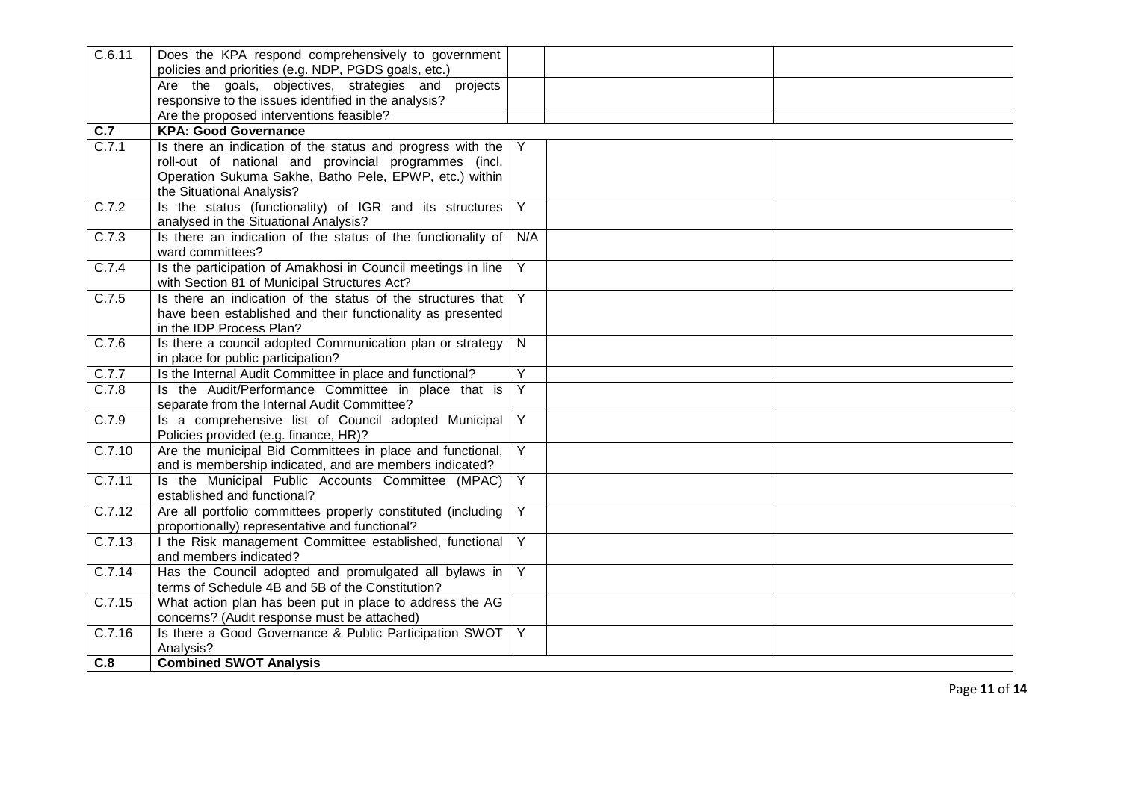| C.6.11 | Does the KPA respond comprehensively to government                                                 |                |  |
|--------|----------------------------------------------------------------------------------------------------|----------------|--|
|        | policies and priorities (e.g. NDP, PGDS goals, etc.)                                               |                |  |
|        | Are the goals, objectives, strategies and<br>projects                                              |                |  |
|        | responsive to the issues identified in the analysis?                                               |                |  |
|        | Are the proposed interventions feasible?                                                           |                |  |
| C.7    | <b>KPA: Good Governance</b>                                                                        |                |  |
| C.7.1  | Is there an indication of the status and progress with the                                         | Y              |  |
|        | roll-out of national and provincial programmes (incl.                                              |                |  |
|        | Operation Sukuma Sakhe, Batho Pele, EPWP, etc.) within                                             |                |  |
|        | the Situational Analysis?                                                                          |                |  |
| C.7.2  | Is the status (functionality) of IGR and its structures                                            | Y              |  |
|        | analysed in the Situational Analysis?                                                              |                |  |
| C.7.3  | Is there an indication of the status of the functionality of                                       | N/A            |  |
|        | ward committees?                                                                                   |                |  |
| C.7.4  | Is the participation of Amakhosi in Council meetings in line                                       | Y              |  |
|        | with Section 81 of Municipal Structures Act?                                                       |                |  |
| C.7.5  | Is there an indication of the status of the structures that                                        | Y              |  |
|        | have been established and their functionality as presented                                         |                |  |
|        | in the IDP Process Plan?                                                                           |                |  |
| C.7.6  | Is there a council adopted Communication plan or strategy                                          | N.             |  |
|        | in place for public participation?                                                                 |                |  |
| C.7.7  | Is the Internal Audit Committee in place and functional?                                           | Y              |  |
| C.7.8  | Is the Audit/Performance Committee in place that is                                                | Y              |  |
|        | separate from the Internal Audit Committee?                                                        |                |  |
| C.7.9  | Is a comprehensive list of Council adopted Municipal                                               | Y              |  |
|        | Policies provided (e.g. finance, HR)?<br>Are the municipal Bid Committees in place and functional, | Y              |  |
| C.7.10 | and is membership indicated, and are members indicated?                                            |                |  |
| C.7.11 | Is the Municipal Public Accounts Committee (MPAC)                                                  | Y              |  |
|        | established and functional?                                                                        |                |  |
| C.7.12 | Are all portfolio committees properly constituted (including                                       | Y              |  |
|        | proportionally) representative and functional?                                                     |                |  |
| C.7.13 | I the Risk management Committee established, functional                                            | Y              |  |
|        | and members indicated?                                                                             |                |  |
| C.7.14 | Has the Council adopted and promulgated all bylaws in                                              | $\overline{Y}$ |  |
|        | terms of Schedule 4B and 5B of the Constitution?                                                   |                |  |
| C.7.15 | What action plan has been put in place to address the AG                                           |                |  |
|        | concerns? (Audit response must be attached)                                                        |                |  |
| C.7.16 | Is there a Good Governance & Public Participation SWOT                                             | Y              |  |
|        | Analysis?                                                                                          |                |  |
| C.8    | <b>Combined SWOT Analysis</b>                                                                      |                |  |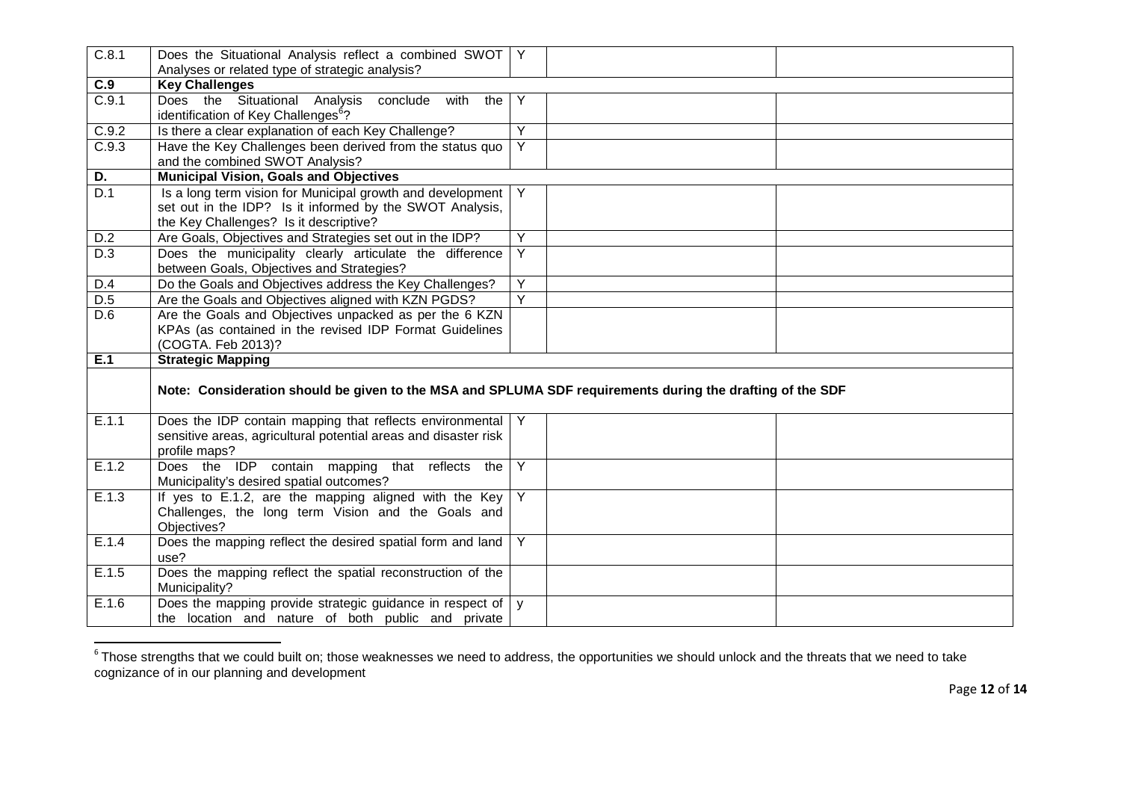| C.8.1 | Does the Situational Analysis reflect a combined SWOT   Y<br>Analyses or related type of strategic analysis?                                                     |                |  |
|-------|------------------------------------------------------------------------------------------------------------------------------------------------------------------|----------------|--|
| C.9   | <b>Key Challenges</b>                                                                                                                                            |                |  |
| C.9.1 | Does the Situational Analysis<br>conclude with the<br>identification of Key Challenges <sup>6</sup> ?                                                            | Y              |  |
| C.9.2 | Is there a clear explanation of each Key Challenge?                                                                                                              | Y              |  |
| C.9.3 | Have the Key Challenges been derived from the status quo<br>and the combined SWOT Analysis?                                                                      | Y              |  |
| D.    | <b>Municipal Vision, Goals and Objectives</b>                                                                                                                    |                |  |
| D.1   | Is a long term vision for Municipal growth and development<br>set out in the IDP? Is it informed by the SWOT Analysis,<br>the Key Challenges? Is it descriptive? | Y              |  |
| D.2   | Are Goals, Objectives and Strategies set out in the IDP?                                                                                                         | Y              |  |
| D.3   | Does the municipality clearly articulate the difference<br>between Goals, Objectives and Strategies?                                                             | Y              |  |
| D.4   | Do the Goals and Objectives address the Key Challenges?                                                                                                          | Y              |  |
| D.5   | Are the Goals and Objectives aligned with KZN PGDS?                                                                                                              | Y              |  |
| D.6   | Are the Goals and Objectives unpacked as per the 6 KZN<br>KPAs (as contained in the revised IDP Format Guidelines<br>(COGTA. Feb 2013)?                          |                |  |
| E.1   | <b>Strategic Mapping</b>                                                                                                                                         |                |  |
|       | Note: Consideration should be given to the MSA and SPLUMA SDF requirements during the drafting of the SDF                                                        |                |  |
| E.1.1 | Does the IDP contain mapping that reflects environmental<br>sensitive areas, agricultural potential areas and disaster risk<br>profile maps?                     |                |  |
| E.1.2 | Does the IDP contain mapping that reflects the<br>Municipality's desired spatial outcomes?                                                                       | Y              |  |
| E.1.3 | If yes to E.1.2, are the mapping aligned with the Key<br>Challenges, the long term Vision and the Goals and<br>Objectives?                                       | $\overline{Y}$ |  |
| E.1.4 | Does the mapping reflect the desired spatial form and land<br>use?                                                                                               | Y              |  |
| E.1.5 | Does the mapping reflect the spatial reconstruction of the<br>Municipality?                                                                                      |                |  |
| E.1.6 | Does the mapping provide strategic guidance in respect of $\vert y \vert$<br>the location and nature of both public and private                                  |                |  |

 $^6$ Those strengths that we could built on; those weaknesses we need to address, the opportunities we should unlock and the threats that we need to take<br>cognizance of in our planning and development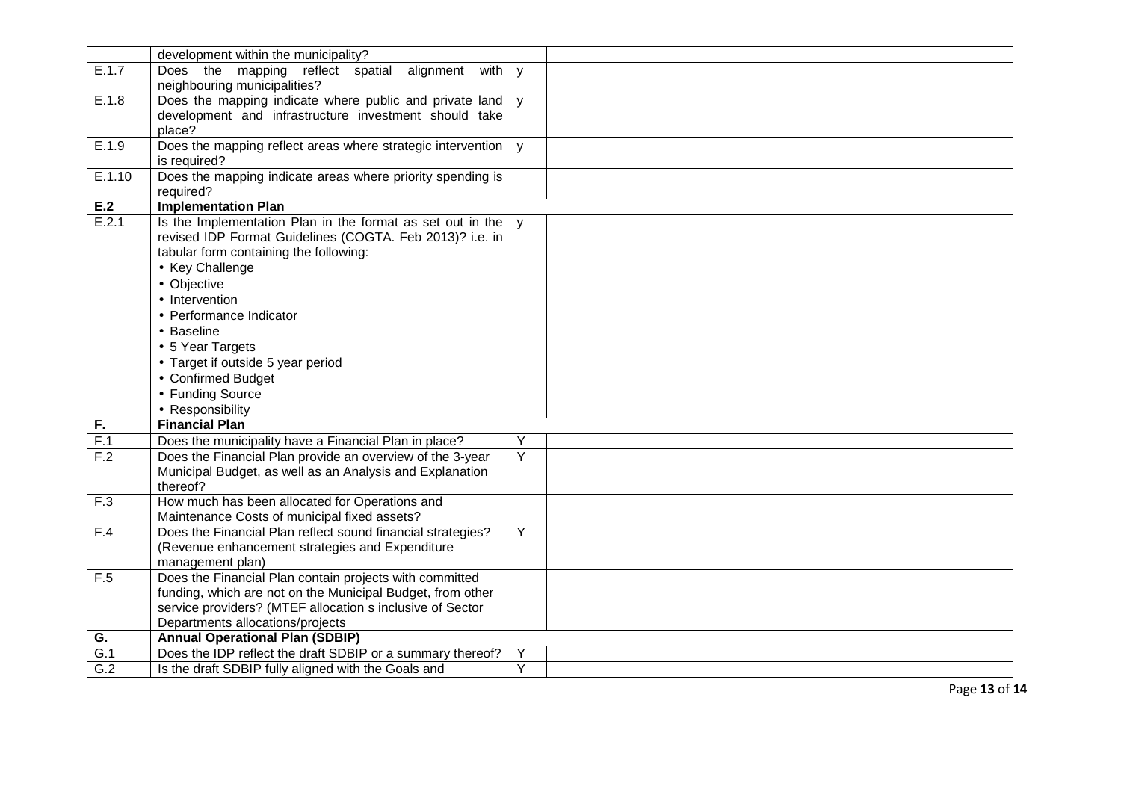|                  | development within the municipality?                        |              |  |
|------------------|-------------------------------------------------------------|--------------|--|
| E.1.7            | Does the mapping reflect spatial alignment<br>with          | y            |  |
|                  | neighbouring municipalities?                                |              |  |
| E.1.8            | Does the mapping indicate where public and private land     | $\mathsf{y}$ |  |
|                  | development and infrastructure investment should take       |              |  |
|                  | place?                                                      |              |  |
| E.1.9            | Does the mapping reflect areas where strategic intervention | y            |  |
|                  | is required?                                                |              |  |
| E.1.10           | Does the mapping indicate areas where priority spending is  |              |  |
|                  | required?                                                   |              |  |
| E.2              | <b>Implementation Plan</b>                                  |              |  |
| E.2.1            | Is the Implementation Plan in the format as set out in the  | $\mathsf{V}$ |  |
|                  | revised IDP Format Guidelines (COGTA. Feb 2013)? i.e. in    |              |  |
|                  | tabular form containing the following:                      |              |  |
|                  | • Key Challenge                                             |              |  |
|                  | • Objective                                                 |              |  |
|                  | • Intervention                                              |              |  |
|                  | • Performance Indicator                                     |              |  |
|                  | • Baseline                                                  |              |  |
|                  | • 5 Year Targets                                            |              |  |
|                  | • Target if outside 5 year period                           |              |  |
|                  | • Confirmed Budget                                          |              |  |
|                  | • Funding Source                                            |              |  |
|                  | • Responsibility                                            |              |  |
| $\overline{F}$ . | <b>Financial Plan</b>                                       |              |  |
| F.1              | Does the municipality have a Financial Plan in place?       | Y            |  |
| F.2              | Does the Financial Plan provide an overview of the 3-year   | Y            |  |
|                  | Municipal Budget, as well as an Analysis and Explanation    |              |  |
|                  | thereof?                                                    |              |  |
| F.3              | How much has been allocated for Operations and              |              |  |
|                  | Maintenance Costs of municipal fixed assets?                |              |  |
| F.4              | Does the Financial Plan reflect sound financial strategies? | Y            |  |
|                  | (Revenue enhancement strategies and Expenditure             |              |  |
|                  | management plan)                                            |              |  |
| F.5              | Does the Financial Plan contain projects with committed     |              |  |
|                  | funding, which are not on the Municipal Budget, from other  |              |  |
|                  | service providers? (MTEF allocation s inclusive of Sector   |              |  |
|                  | Departments allocations/projects                            |              |  |
| G.               | <b>Annual Operational Plan (SDBIP)</b>                      |              |  |
| $\overline{G.1}$ | Does the IDP reflect the draft SDBIP or a summary thereof?  | Y            |  |
| G.2              | Is the draft SDBIP fully aligned with the Goals and         | Y            |  |

Page **13** of **14**